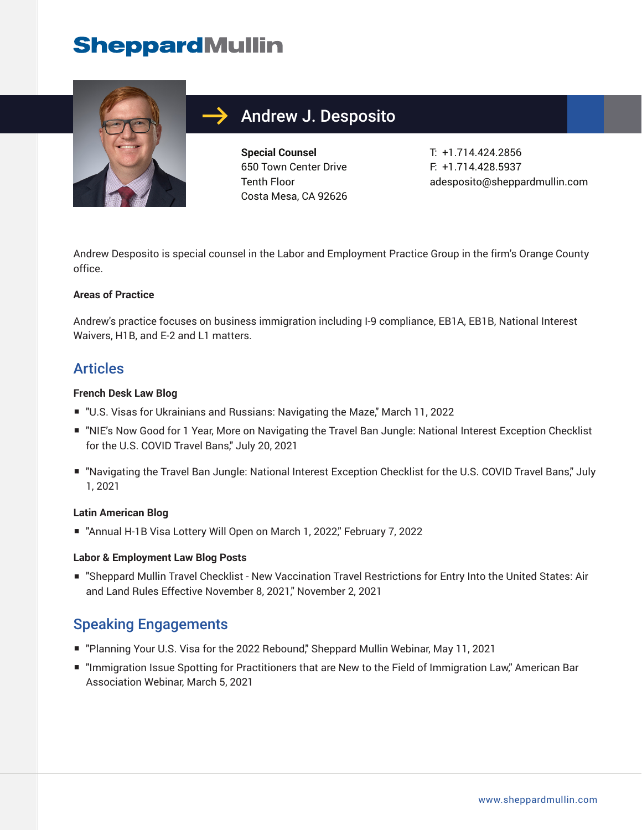# **SheppardMullin**



## Andrew J. Desposito

**Special Counsel** 650 Town Center Drive Tenth Floor Costa Mesa, CA 92626 T: +1.714.424.2856 F: +1.714.428.5937 adesposito@sheppardmullin.com

Andrew Desposito is special counsel in the Labor and Employment Practice Group in the firm's Orange County office.

#### **Areas of Practice**

Andrew's practice focuses on business immigration including I-9 compliance, EB1A, EB1B, National Interest Waivers, H1B, and E-2 and L1 matters.

### Articles

#### **French Desk Law Blog**

- "U.S. Visas for Ukrainians and Russians: Navigating the Maze," March 11, 2022
- "NIE's Now Good for 1 Year, More on Navigating the Travel Ban Jungle: National Interest Exception Checklist for the U.S. COVID Travel Bans," July 20, 2021
- "Navigating the Travel Ban Jungle: National Interest Exception Checklist for the U.S. COVID Travel Bans," July 1, 2021

#### **Latin American Blog**

■ "Annual H-1B Visa Lottery Will Open on March 1, 2022," February 7, 2022

#### **Labor & Employment Law Blog Posts**

■ "Sheppard Mullin Travel Checklist - New Vaccination Travel Restrictions for Entry Into the United States: Air and Land Rules Effective November 8, 2021," November 2, 2021

### Speaking Engagements

- "Planning Your U.S. Visa for the 2022 Rebound," Sheppard Mullin Webinar, May 11, 2021
- "Immigration Issue Spotting for Practitioners that are New to the Field of Immigration Law," American Bar Association Webinar, March 5, 2021